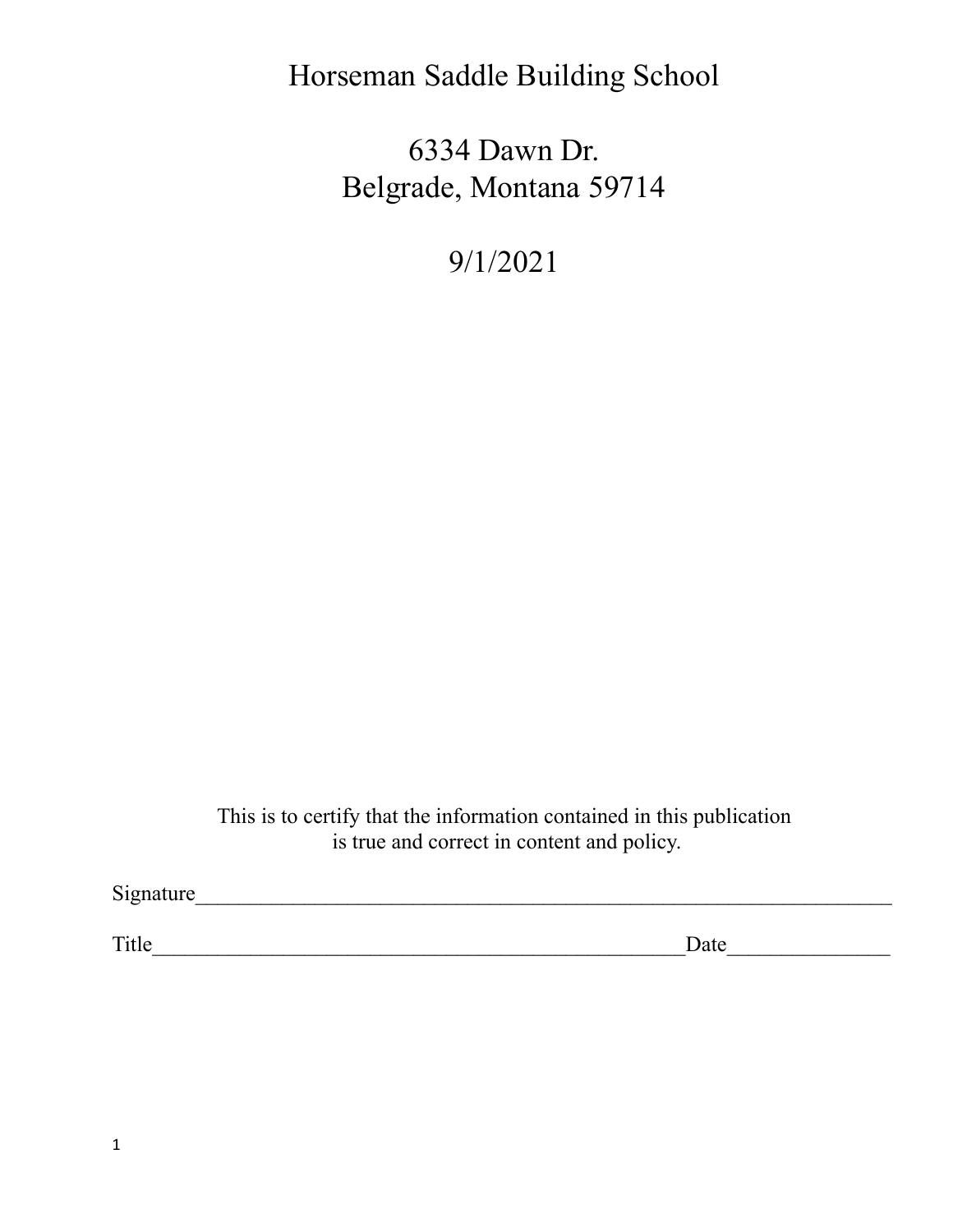# Horseman Saddle Building School

6334 Dawn Dr. Belgrade, Montana 59714

9/1/2021

This is to certify that the information contained in this publication is true and correct in content and policy.

Signature\_\_\_\_\_\_\_\_\_\_\_\_\_\_\_\_\_\_\_\_\_\_\_\_\_\_\_\_\_\_\_\_\_\_\_\_\_\_\_\_\_\_\_\_\_\_\_\_\_\_\_\_\_\_\_\_\_\_\_\_\_\_\_\_

Title\_\_\_\_\_\_\_\_\_\_\_\_\_\_\_\_\_\_\_\_\_\_\_\_\_\_\_\_\_\_\_\_\_\_\_\_\_\_\_\_\_\_\_\_\_\_\_\_\_Date\_\_\_\_\_\_\_\_\_\_\_\_\_\_\_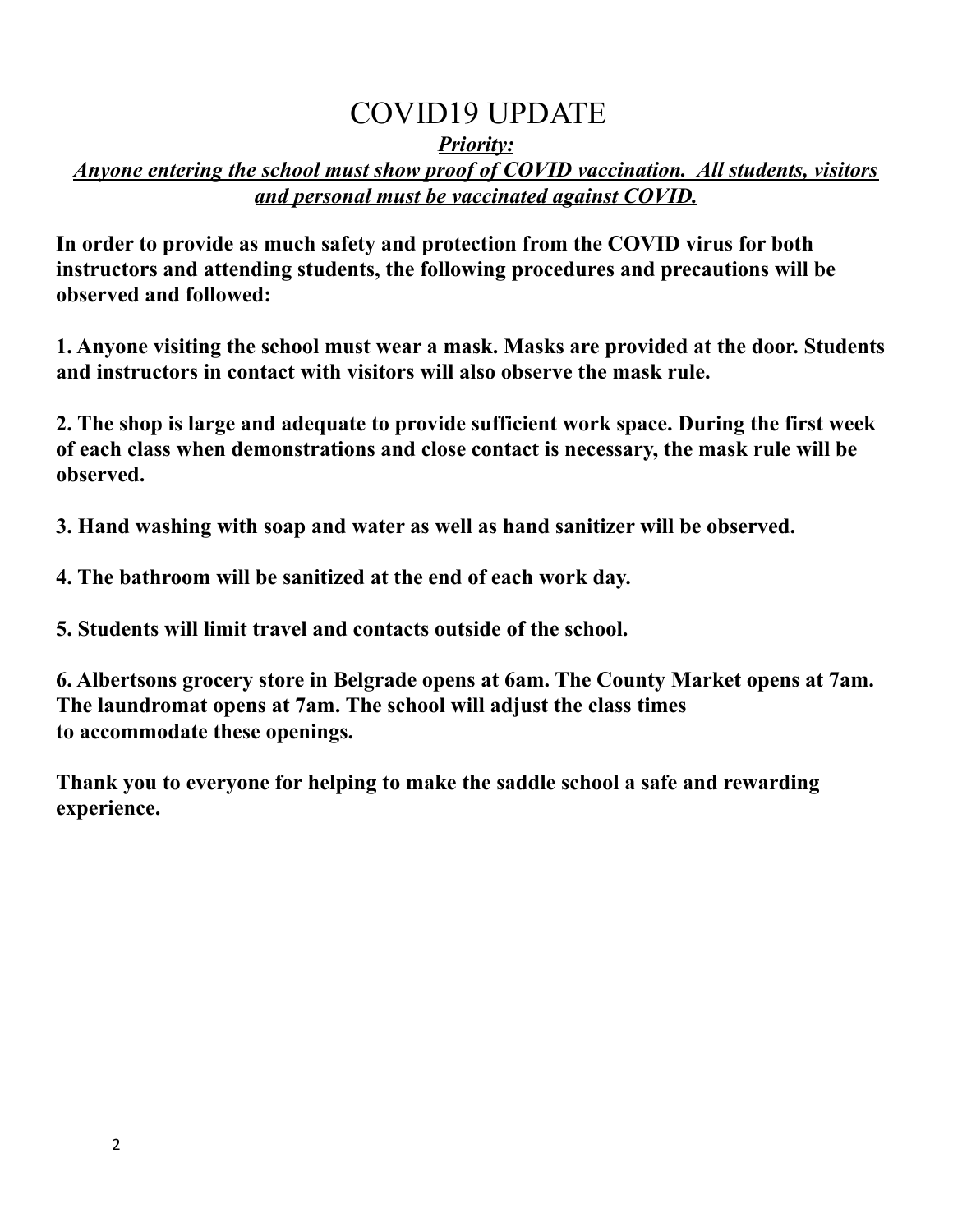# COVID19 UPDATE

#### *Priority:*

#### *Anyone entering the school must show proof of COVID vaccination. All students, visitors and personal must be vaccinated against COVID.*

**In order to provide as much safety and protection from the COVID virus for both instructors and attending students, the following procedures and precautions will be observed and followed:**

**1. Anyone visiting the school must wear a mask. Masks are provided at the door. Students and instructors in contact with visitors will also observe the mask rule.**

**2. The shop is large and adequate to provide sufficient work space. During the first week of each class when demonstrations and close contact is necessary, the mask rule will be observed.**

**3. Hand washing with soap and water as well as hand sanitizer will be observed.**

**4. The bathroom will be sanitized at the end of each work day.**

**5. Students will limit travel and contacts outside of the school.**

**6. Albertsons grocery store in Belgrade opens at 6am. The County Market opens at 7am. The laundromat opens at 7am. The school will adjust the class times to accommodate these openings.**

**Thank you to everyone for helping to make the saddle school a safe and rewarding experience.**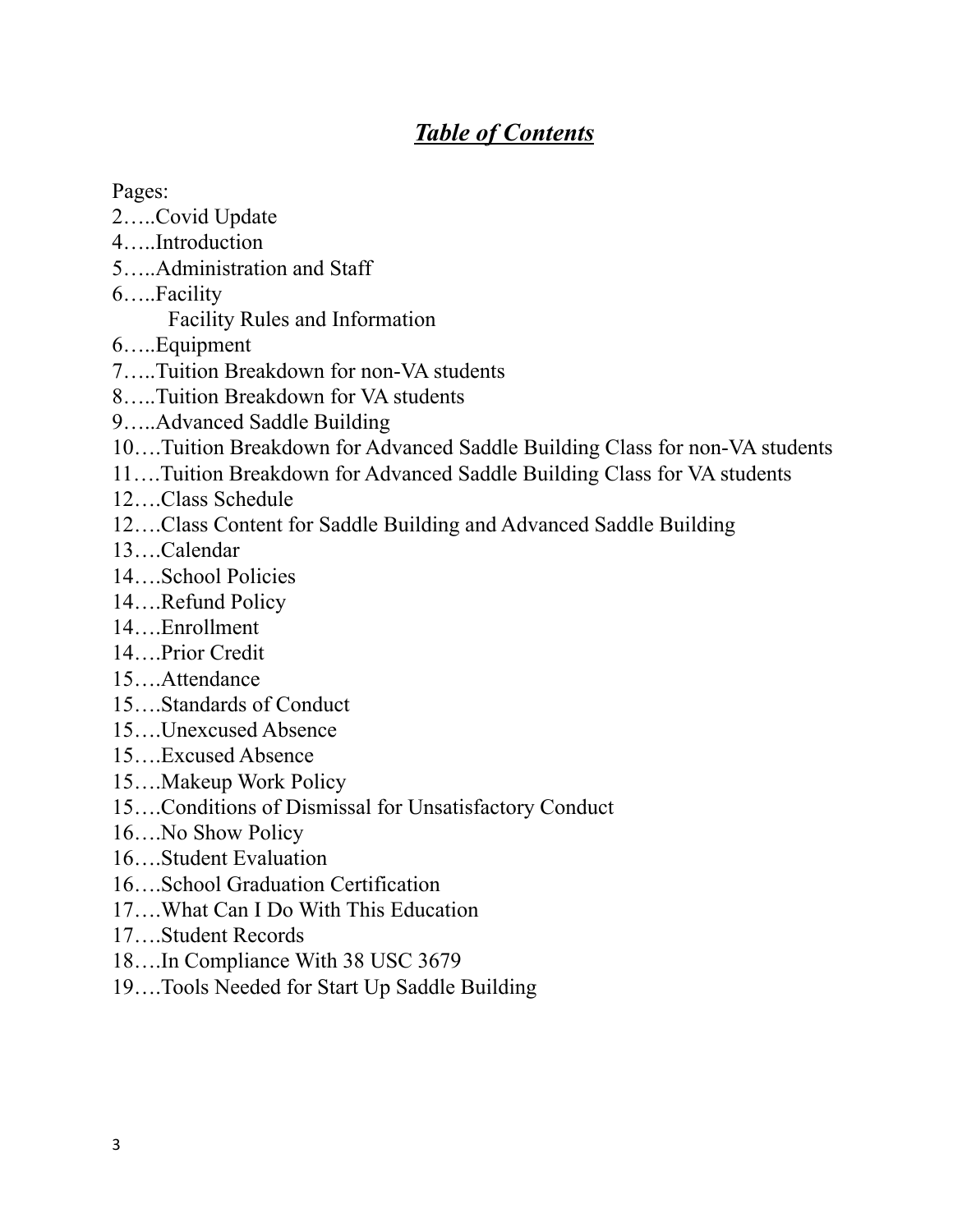## *Table of Contents*

Pages:

- 2…..Covid Update
- 4…..Introduction
- 5…..Administration and Staff
- 6…..Facility

Facility Rules and Information

- 6…..Equipment
- 7…..Tuition Breakdown for non-VA students
- 8…..Tuition Breakdown for VA students
- 9…..Advanced Saddle Building
- 10….Tuition Breakdown for Advanced Saddle Building Class for non-VA students
- 11….Tuition Breakdown for Advanced Saddle Building Class for VA students
- 12….Class Schedule
- 12….Class Content for Saddle Building and Advanced Saddle Building
- 13….Calendar
- 14….School Policies
- 14….Refund Policy
- 14….Enrollment
- 14….Prior Credit
- 15….Attendance
- 15….Standards of Conduct
- 15….Unexcused Absence
- 15….Excused Absence
- 15….Makeup Work Policy
- 15….Conditions of Dismissal for Unsatisfactory Conduct
- 16….No Show Policy
- 16….Student Evaluation
- 16….School Graduation Certification
- 17….What Can I Do With This Education
- 17….Student Records
- 18….In Compliance With 38 USC 3679
- 19….Tools Needed for Start Up Saddle Building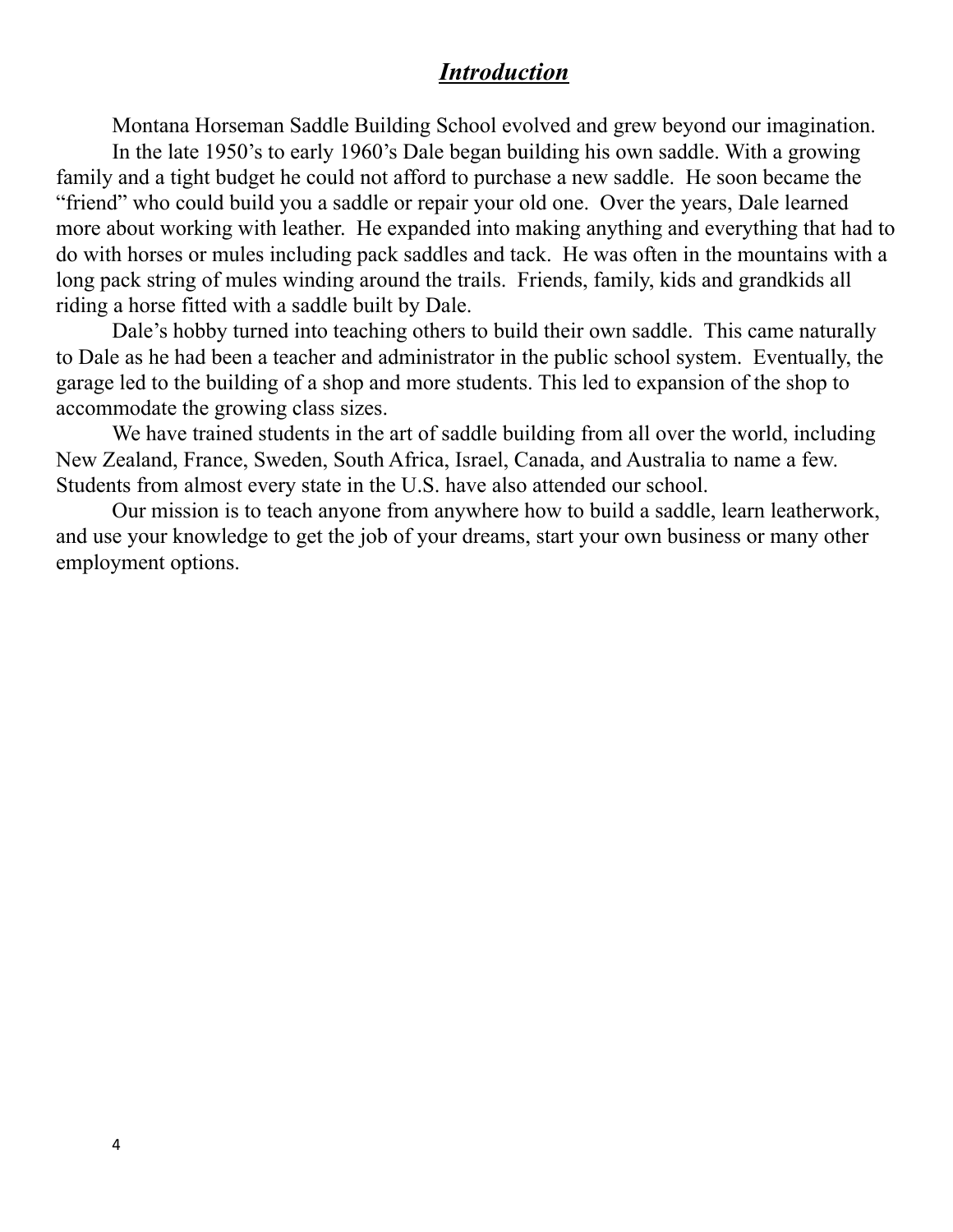#### *Introduction*

Montana Horseman Saddle Building School evolved and grew beyond our imagination. In the late 1950's to early 1960's Dale began building his own saddle. With a growing family and a tight budget he could not afford to purchase a new saddle. He soon became the "friend" who could build you a saddle or repair your old one. Over the years, Dale learned more about working with leather. He expanded into making anything and everything that had to do with horses or mules including pack saddles and tack. He was often in the mountains with a long pack string of mules winding around the trails. Friends, family, kids and grandkids all riding a horse fitted with a saddle built by Dale.

Dale's hobby turned into teaching others to build their own saddle. This came naturally to Dale as he had been a teacher and administrator in the public school system. Eventually, the garage led to the building of a shop and more students. This led to expansion of the shop to accommodate the growing class sizes.

We have trained students in the art of saddle building from all over the world, including New Zealand, France, Sweden, South Africa, Israel, Canada, and Australia to name a few. Students from almost every state in the U.S. have also attended our school.

Our mission is to teach anyone from anywhere how to build a saddle, learn leatherwork, and use your knowledge to get the job of your dreams, start your own business or many other employment options.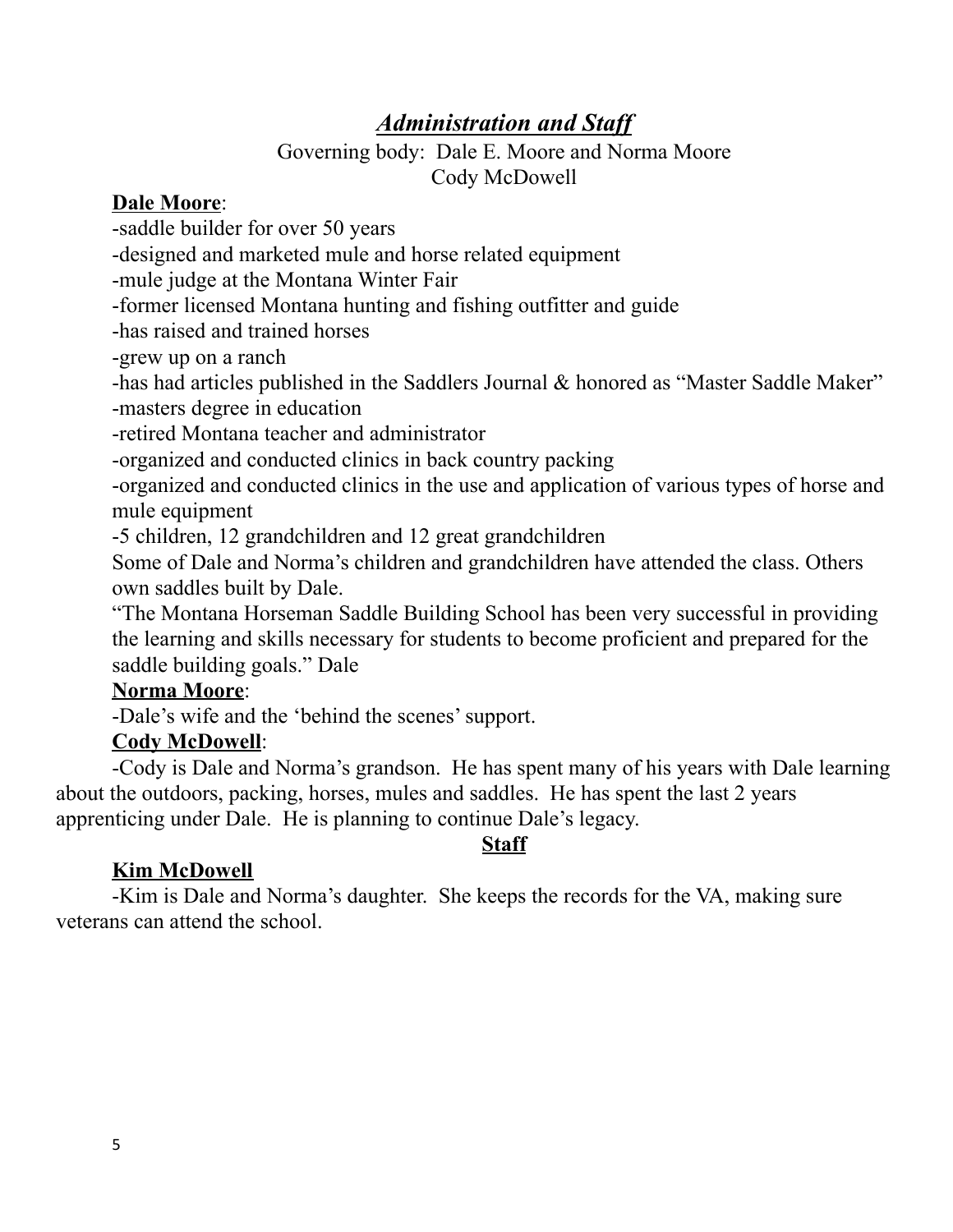## *Administration and Staf*

#### Governing body: Dale E. Moore and Norma Moore Cody McDowell

#### **Dale Moore**:

-saddle builder for over 50 years

-designed and marketed mule and horse related equipment

-mule judge at the Montana Winter Fair

-former licensed Montana hunting and fishing outfitter and guide

-has raised and trained horses

-grew up on a ranch

-has had articles published in the Saddlers Journal & honored as "Master Saddle Maker" -masters degree in education

-retired Montana teacher and administrator

-organized and conducted clinics in back country packing

-organized and conducted clinics in the use and application of various types of horse and mule equipment

-5 children, 12 grandchildren and 12 great grandchildren

Some of Dale and Norma's children and grandchildren have attended the class. Others own saddles built by Dale.

"The Montana Horseman Saddle Building School has been very successful in providing the learning and skills necessary for students to become proficient and prepared for the saddle building goals." Dale

#### **Norma Moore**:

-Dale's wife and the 'behind the scenes'support.

### **Cody McDowell**:

-Cody is Dale and Norma's grandson. He has spent many of his years with Dale learning about the outdoors, packing, horses, mules and saddles. He has spent the last 2 years apprenticing under Dale. He is planning to continue Dale's legacy.

### **Staff**

## **Kim McDowell**

-Kim is Dale and Norma's daughter. She keeps the records for the VA, making sure veterans can attend the school.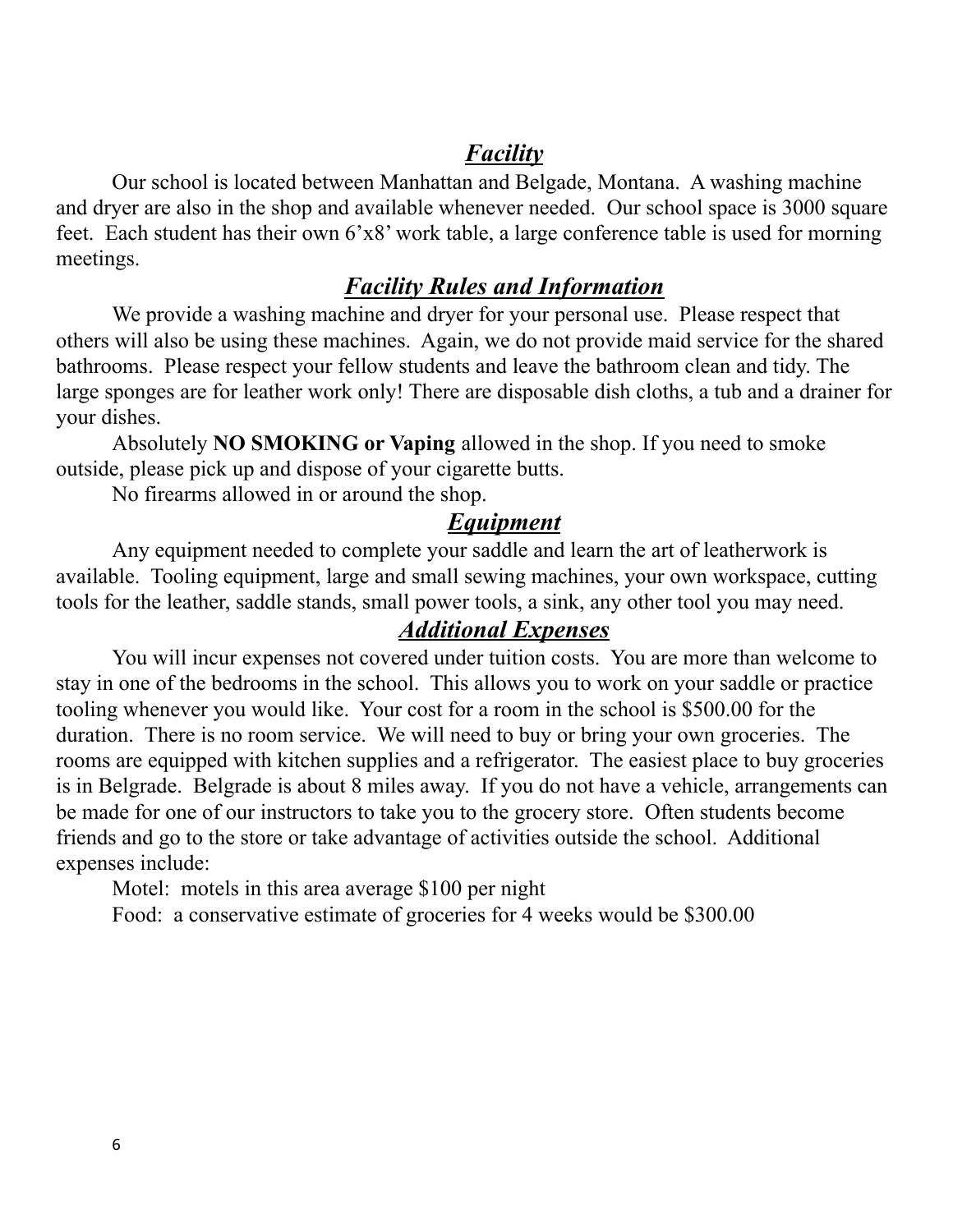### *Facility*

Our school is located between Manhattan and Belgade, Montana. A washing machine and dryer are also in the shop and available whenever needed. Our school space is 3000 square feet. Each student has their own 6'x8' work table, a large conference table is used for morning meetings.

### *Facility Rules and Information*

We provide a washing machine and dryer for your personal use. Please respect that others will also be using these machines. Again, we do not provide maid service for the shared bathrooms. Please respect your fellow students and leave the bathroom clean and tidy. The large sponges are for leather work only! There are disposable dish cloths, a tub and a drainer for your dishes.

Absolutely **NO SMOKING or Vaping** allowed in the shop. If you need to smoke outside, please pick up and dispose of your cigarette butts.

No firearms allowed in or around the shop.

#### *Equipment*

Any equipment needed to complete your saddle and learn the art of leatherwork is available. Tooling equipment, large and small sewing machines, your own workspace, cutting tools for the leather, saddle stands, small power tools, a sink, any other tool you may need.

#### *Additional Expenses*

You will incur expenses not covered under tuition costs. You are more than welcome to stay in one of the bedrooms in the school. This allows you to work on your saddle or practice tooling whenever you would like. Your cost for a room in the school is \$500.00 for the duration. There is no room service. We will need to buy or bring your own groceries. The rooms are equipped with kitchen supplies and a refrigerator. The easiest place to buy groceries is in Belgrade. Belgrade is about 8 miles away. If you do not have a vehicle, arrangements can be made for one of our instructors to take you to the grocery store. Often students become friends and go to the store or take advantage of activities outside the school. Additional expenses include:

Motel: motels in this area average \$100 per night

Food: a conservative estimate of groceries for 4 weeks would be \$300.00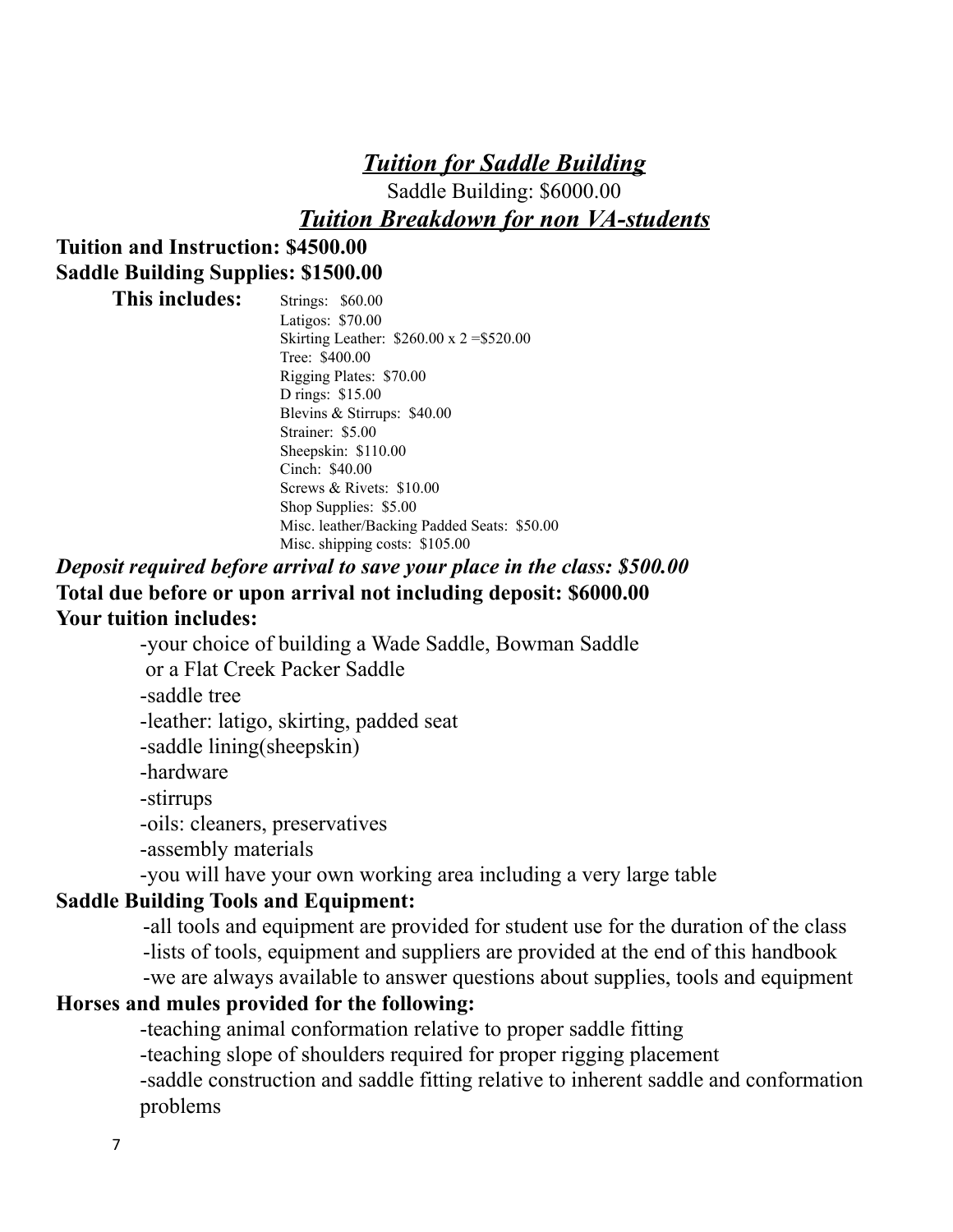## *Tuition for Saddle Building*

Saddle Building: \$6000.00 *Tuition Breakdown for non VA-students*

### **Tuition and Instruction: \$4500.00 Saddle Building Supplies: \$1500.00**

**This includes:** Strings: \$60.00 Latigos: \$70.00 Skirting Leather: \$260.00 x 2 =\$520.00 Tree: \$400.00 Rigging Plates: \$70.00 D rings: \$15.00 Blevins & Stirrups: \$40.00 Strainer: \$5.00 Sheepskin: \$110.00 Cinch: \$40.00 Screws & Rivets: \$10.00 Shop Supplies: \$5.00 Misc. leather/Backing Padded Seats: \$50.00 Misc. shipping costs: \$105.00

### *Deposit required before arrival to save your place in the class: \$500.00* **Total due before or upon arrival not including deposit: \$6000.00 Your tuition includes:**

-your choice of building a Wade Saddle, Bowman Saddle or a Flat Creek Packer Saddle -saddle tree -leather: latigo, skirting, padded seat -saddle lining(sheepskin) -hardware -stirrups

-oils: cleaners, preservatives

-assembly materials

-you will have your own working area including a very large table

## **Saddle Building Tools and Equipment:**

-all tools and equipment are provided for student use for the duration of the class -lists of tools, equipment and suppliers are provided at the end of this handbook -we are always available to answer questions about supplies, tools and equipment

#### **Horses and mules provided for the following:**

-teaching animal conformation relative to proper saddle fitting -teaching slope of shoulders required for proper rigging placement -saddle construction and saddle fitting relative to inherent saddle and conformation problems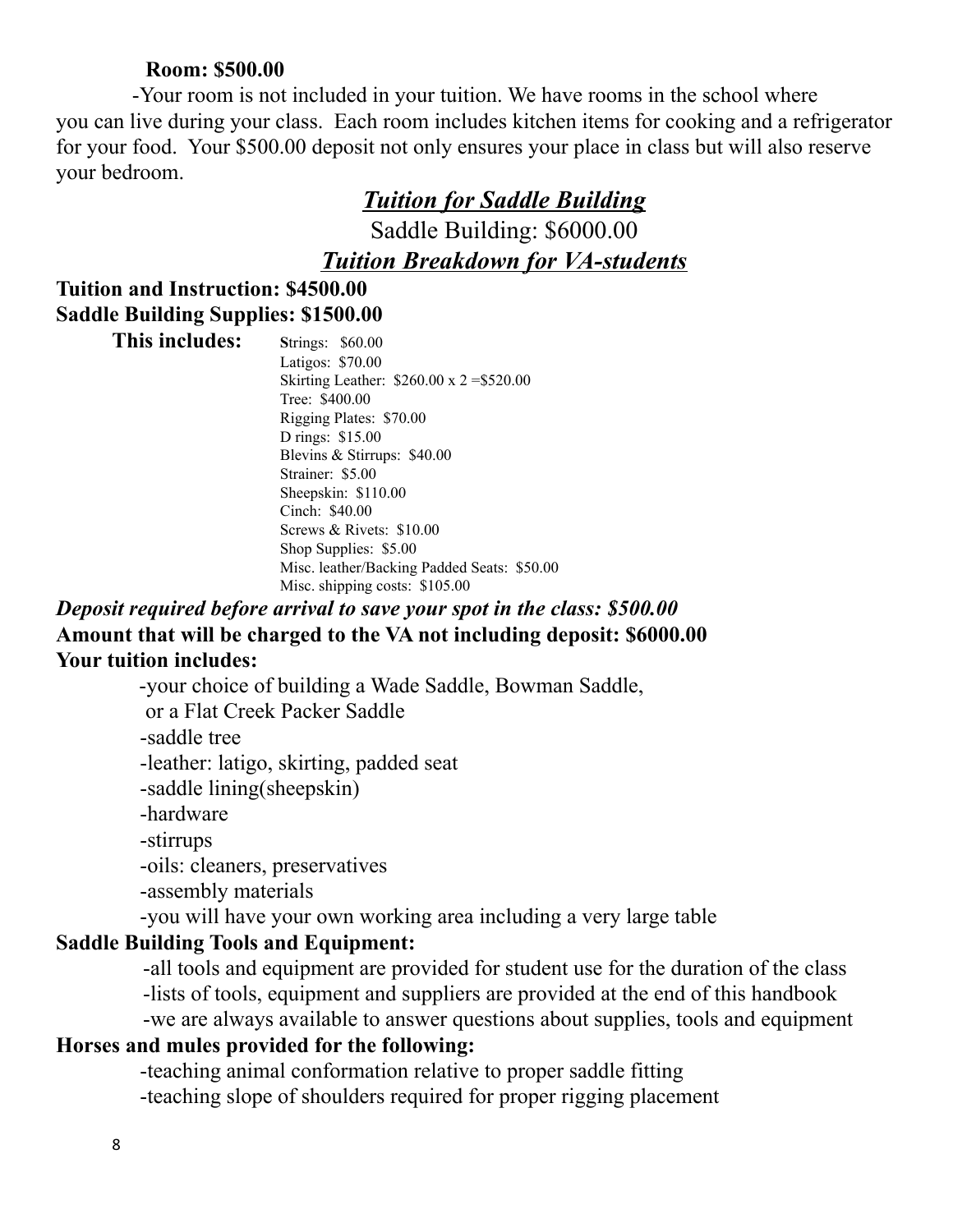#### **Room: \$500.00**

-Your room is not included in your tuition. We have rooms in the school where you can live during your class. Each room includes kitchen items for cooking and a refrigerator for your food. Your \$500.00 deposit not only ensures your place in class but will also reserve your bedroom.

### *Tuition for Saddle Building*

Saddle Building: \$6000.00

*Tuition Breakdown for VA-students*

#### **Tuition and Instruction: \$4500.00 Saddle Building Supplies: \$1500.00**

| This includes: | <b>Strings: \$60.00</b>                        |
|----------------|------------------------------------------------|
|                | Latigos: \$70.00                               |
|                | Skirting Leather: $$260.00 \times 2 = $520.00$ |
|                | Tree: \$400.00                                 |
|                | Rigging Plates: \$70.00                        |
|                | D rings: \$15.00                               |
|                | Blevins & Stirrups: $$40.00$                   |
|                | Strainer: \$5.00                               |
|                | Sheepskin: \$110.00                            |
|                | Cinch: \$40.00                                 |
|                | Screws & Rivets: $$10.00$                      |
|                | Shop Supplies: \$5.00                          |
|                | Misc. leather/Backing Padded Seats: \$50.00    |
|                | Misc. shipping costs: $$105.00$                |

### *Deposit required before arrival to save your spot in the class: \$500.00* **Amount that will be charged to the VA not including deposit: \$6000.00 Your tuition includes:**

-your choice of building a Wade Saddle, Bowman Saddle,

or a Flat Creek Packer Saddle

-saddle tree

-leather: latigo, skirting, padded seat

-saddle lining(sheepskin)

-hardware

-stirrups

-oils: cleaners, preservatives

-assembly materials

-you will have your own working area including a very large table

#### **Saddle Building Tools and Equipment:**

-all tools and equipment are provided for student use for the duration of the class -lists of tools, equipment and suppliers are provided at the end of this handbook -we are always available to answer questions about supplies, tools and equipment

#### **Horses and mules provided for the following:**

-teaching animal conformation relative to proper saddle fitting -teaching slope of shoulders required for proper rigging placement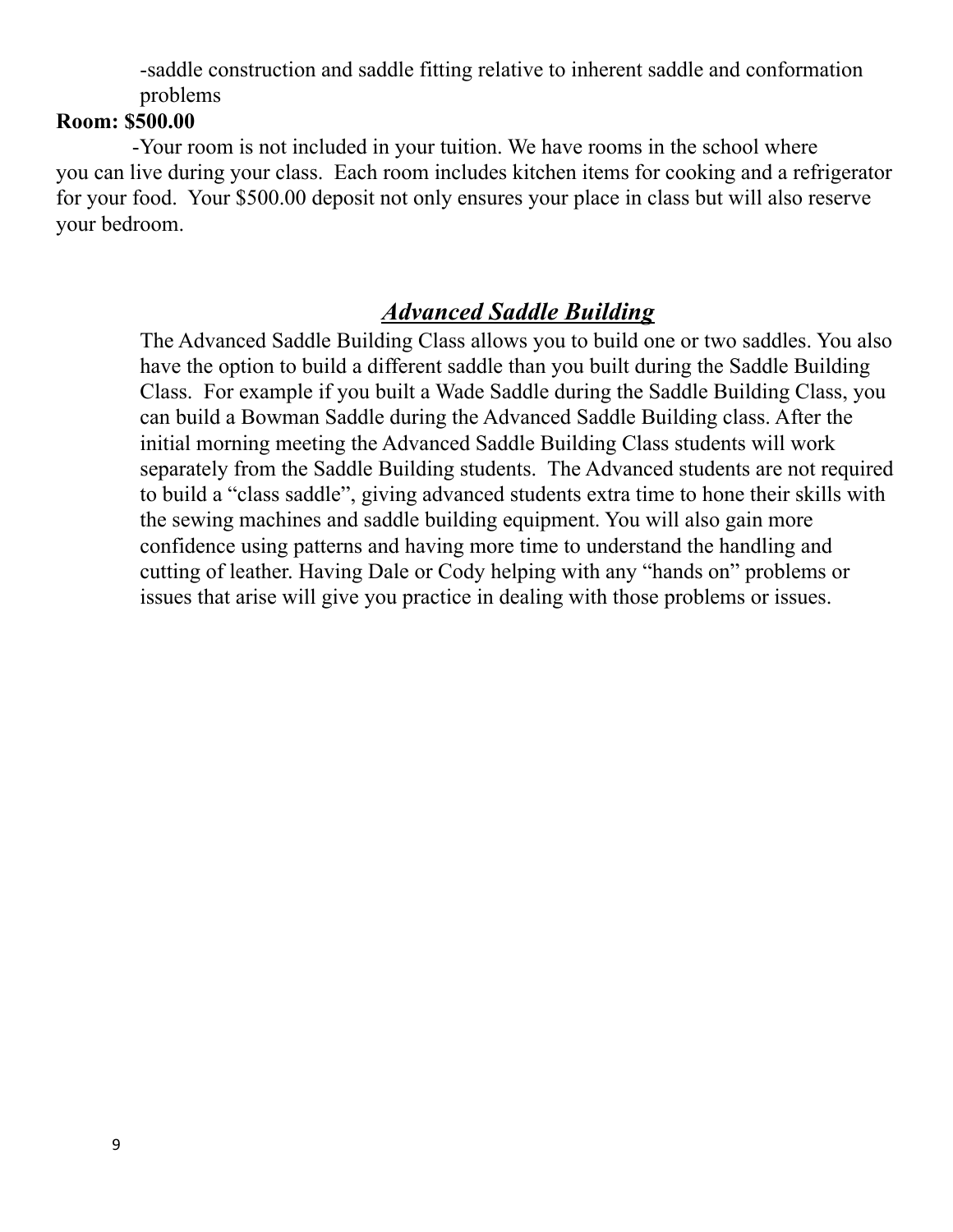-saddle construction and saddle fitting relative to inherent saddle and conformation problems

#### **Room: \$500.00**

-Your room is not included in your tuition. We have rooms in the school where you can live during your class. Each room includes kitchen items for cooking and a refrigerator for your food. Your \$500.00 deposit not only ensures your place in class but will also reserve your bedroom.

## *Advanced Saddle Building*

The Advanced Saddle Building Class allows you to build one or two saddles. You also have the option to build a different saddle than you built during the Saddle Building Class. For example if you built a Wade Saddle during the Saddle Building Class, you can build a Bowman Saddle during the Advanced Saddle Building class. After the initial morning meeting the Advanced Saddle Building Class students will work separately from the Saddle Building students. The Advanced students are not required to build a "class saddle", giving advanced students extra time to hone their skills with the sewing machines and saddle building equipment. You will also gain more confidence using patterns and having more time to understand the handling and cutting of leather. Having Dale or Cody helping with any "hands on" problems or issues that arise will give you practice in dealing with those problems or issues.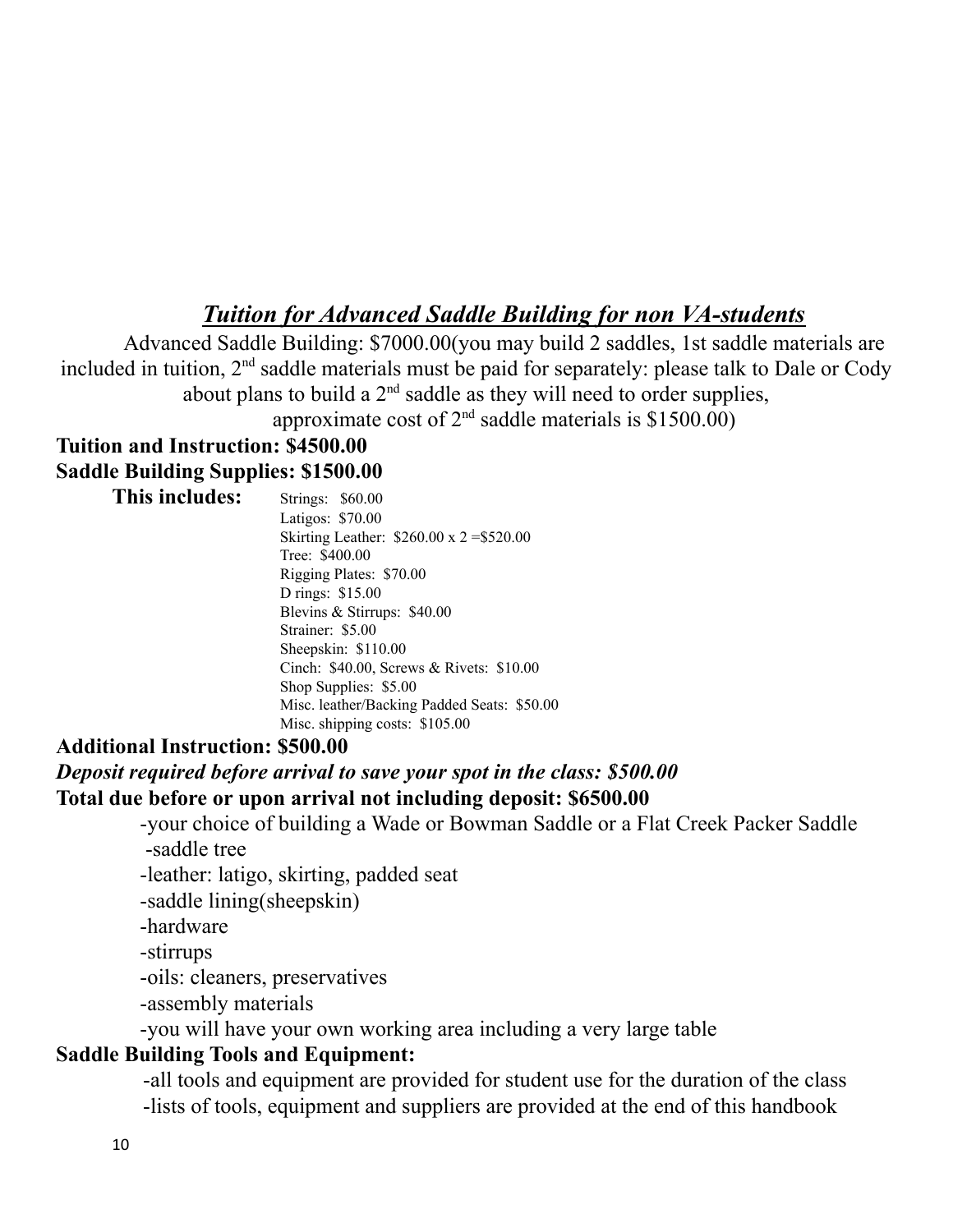## *Tuition for Advanced Saddle Building for non VA-students*

Advanced Saddle Building: \$7000.00(you may build 2 saddles, 1st saddle materials are included in tuition,  $2<sup>nd</sup>$  saddle materials must be paid for separately: please talk to Dale or Cody about plans to build a  $2<sup>nd</sup>$  saddle as they will need to order supplies,

approximate cost of  $2<sup>nd</sup>$  saddle materials is \$1500.00)

#### **Tuition and Instruction: \$4500.00 Saddle Building Supplies: \$1500.00**

**This includes:** Strings: \$60.00 Latigos: \$70.00 Skirting Leather: \$260.00 x 2 =\$520.00 Tree: \$400.00 Rigging Plates: \$70.00 D rings: \$15.00 Blevins & Stirrups: \$40.00 Strainer: \$5.00 Sheepskin: \$110.00 Cinch: \$40.00, Screws & Rivets: \$10.00 Shop Supplies: \$5.00 Misc. leather/Backing Padded Seats: \$50.00 Misc. shipping costs: \$105.00

#### **Additional Instruction: \$500.00**

*Deposit required before arrival to save your spot in the class: \$500.00* **Total due before or upon arrival not including deposit: \$6500.00**

> -your choice of building a Wade or Bowman Saddle or a Flat Creek Packer Saddle -saddle tree

-leather: latigo, skirting, padded seat

-saddle lining(sheepskin)

-hardware

-stirrups

-oils: cleaners, preservatives

-assembly materials

-you will have your own working area including a very large table

#### **Saddle Building Tools and Equipment:**

-all tools and equipment are provided for student use for the duration of the class -lists of tools, equipment and suppliers are provided at the end of this handbook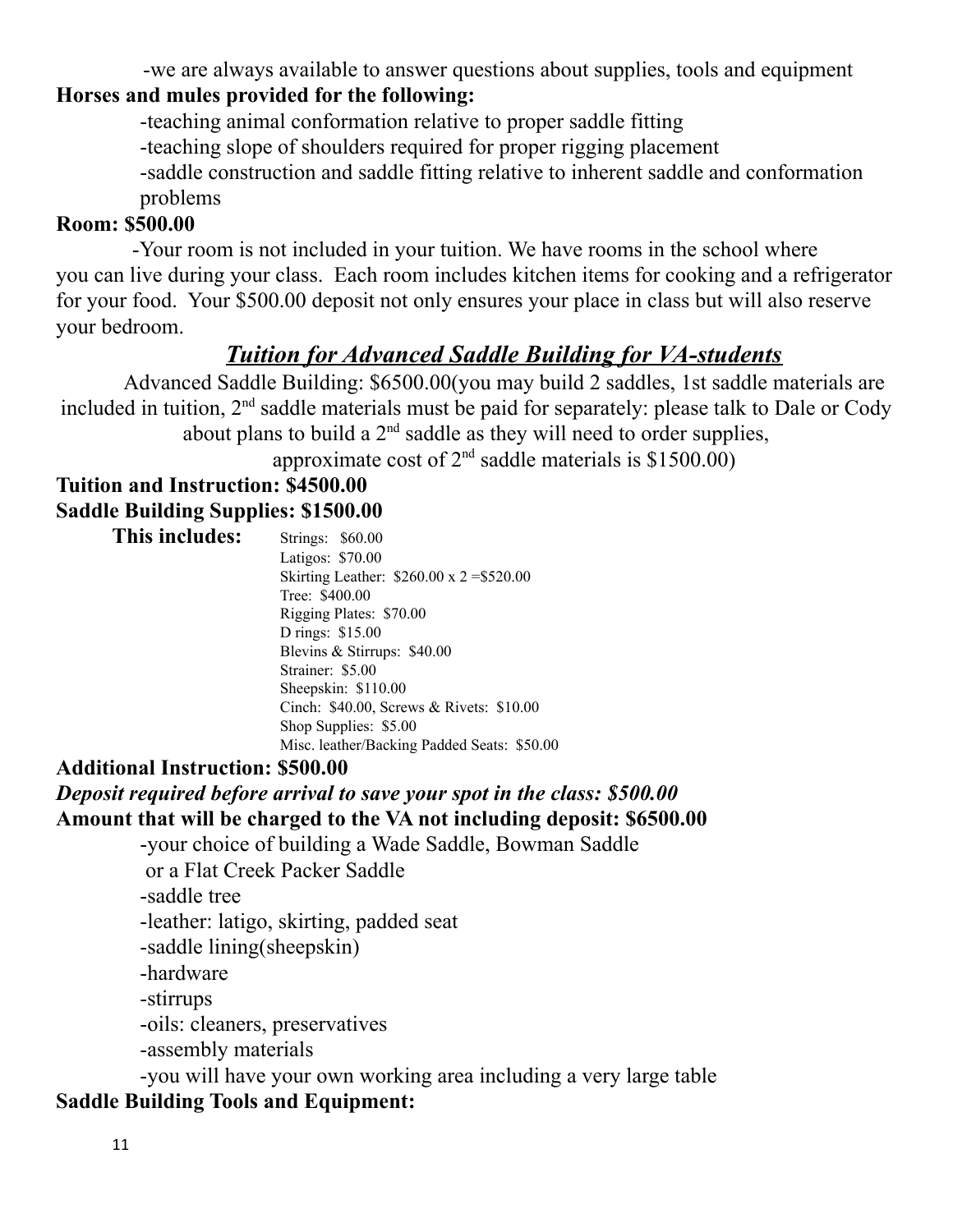-we are always available to answer questions about supplies, tools and equipment

## **Horses and mules provided for the following:**

-teaching animal conformation relative to proper saddle fitting

-teaching slope of shoulders required for proper rigging placement

-saddle construction and saddle fitting relative to inherent saddle and conformation problems

#### **Room: \$500.00**

-Your room is not included in your tuition. We have rooms in the school where you can live during your class. Each room includes kitchen items for cooking and a refrigerator for your food. Your \$500.00 deposit not only ensures your place in class but will also reserve your bedroom.

## *Tuition for Advanced Saddle Building for VA-students*

Advanced Saddle Building: \$6500.00(you may build 2 saddles, 1st saddle materials are included in tuition,  $2<sup>nd</sup>$  saddle materials must be paid for separately: please talk to Dale or Cody about plans to build a  $2<sup>nd</sup>$  saddle as they will need to order supplies,

approximate cost of  $2<sup>nd</sup>$  saddle materials is \$1500.00)

### **Tuition and Instruction: \$4500.00 Saddle Building Supplies: \$1500.00**

| This includes: | Strings: \$60.00                               |
|----------------|------------------------------------------------|
|                | Latigos: \$70.00                               |
|                | Skirting Leather: $$260.00 \times 2 = $520.00$ |
|                | Tree: \$400.00                                 |
|                | Rigging Plates: \$70.00                        |
|                | D rings: \$15.00                               |
|                | Blevins & Stirrups: \$40.00                    |
|                | Strainer: \$5.00                               |
|                | Sheepskin: \$110.00                            |
|                | Cinch: \$40.00, Screws & Rivets: \$10.00       |
|                | Shop Supplies: \$5.00                          |
|                | Misc. leather/Backing Padded Seats: \$50.00    |

#### **Additional Instruction: \$500.00**

## *Deposit required before arrival to save your spot in the class: \$500.00* **Amount that will be charged to the VA not including deposit: \$6500.00**

-your choice of building a Wade Saddle, Bowman Saddle

or a Flat Creek Packer Saddle

-saddle tree

-leather: latigo, skirting, padded seat

-saddle lining(sheepskin)

-hardware

-stirrups

-oils: cleaners, preservatives

-assembly materials

-you will have your own working area including a very large table

### **Saddle Building Tools and Equipment:**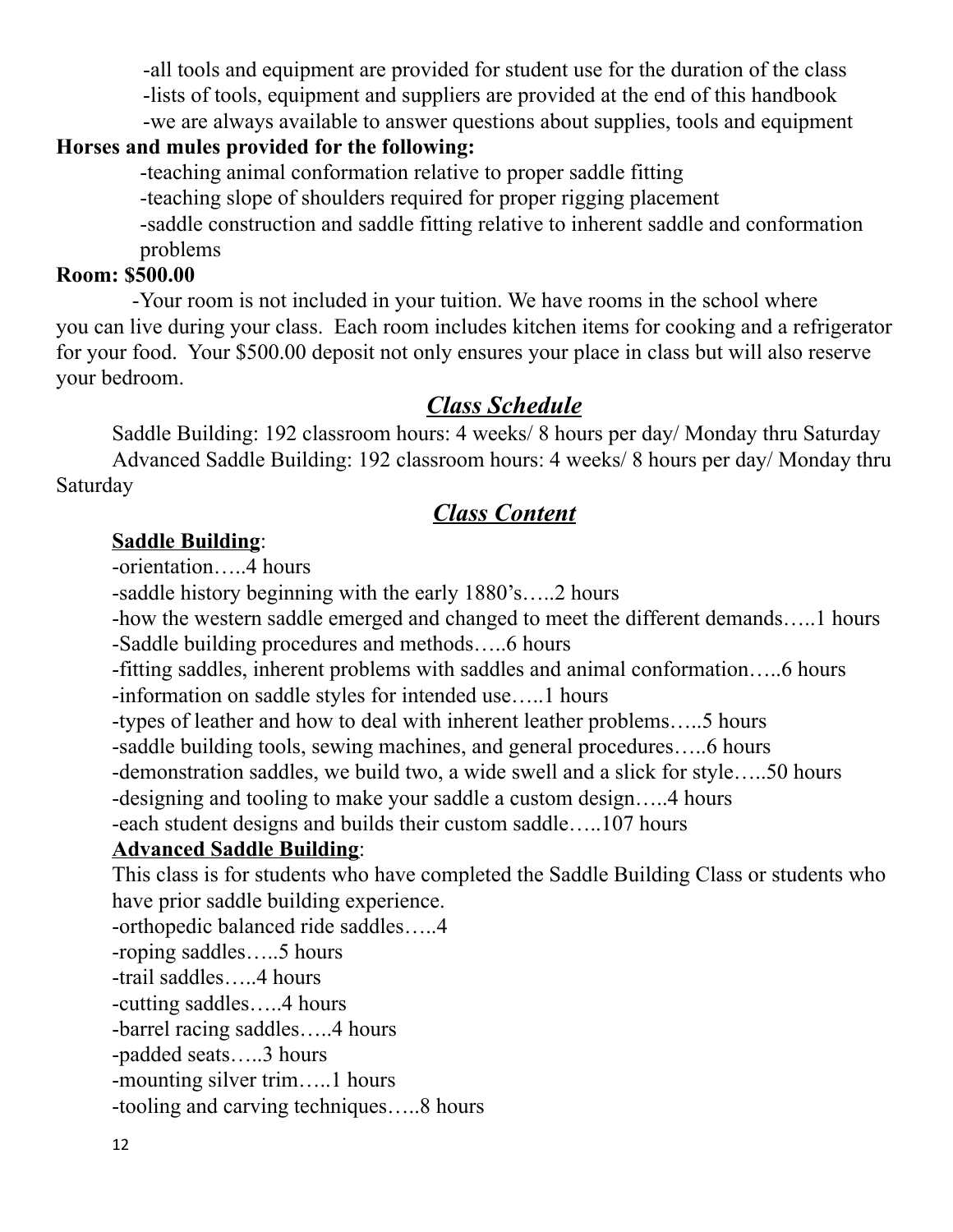-all tools and equipment are provided for student use for the duration of the class

-lists of tools, equipment and suppliers are provided at the end of this handbook

-we are always available to answer questions about supplies, tools and equipment

### **Horses and mules provided for the following:**

-teaching animal conformation relative to proper saddle fitting

-teaching slope of shoulders required for proper rigging placement

-saddle construction and saddle fitting relative to inherent saddle and conformation problems

#### **Room: \$500.00**

-Your room is not included in your tuition. We have rooms in the school where you can live during your class. Each room includes kitchen items for cooking and a refrigerator for your food. Your \$500.00 deposit not only ensures your place in class but will also reserve your bedroom.

## *Class Schedule*

Saddle Building: 192 classroom hours: 4 weeks/ 8 hours per day/ Monday thru Saturday Advanced Saddle Building: 192 classroom hours: 4 weeks/ 8 hours per day/ Monday thru Saturday

## *Class Content*

#### **Saddle Building**:

-orientation…..4 hours

-saddle history beginning with the early 1880's…..2 hours

-how the western saddle emerged and changed to meet the different demands…..1 hours

-Saddle building procedures and methods…..6 hours

-fitting saddles, inherent problems with saddles and animal conformation…..6 hours

-information on saddle styles for intended use…..1 hours

-types of leather and how to deal with inherent leather problems…..5 hours

-saddle building tools, sewing machines, and general procedures…..6 hours

-demonstration saddles, we build two, a wide swell and a slick for style…..50 hours

-designing and tooling to make your saddle a custom design…..4 hours

-each student designs and builds their custom saddle…..107 hours

### **Advanced Saddle Building**:

This class is for students who have completed the Saddle Building Class or students who have prior saddle building experience.

-orthopedic balanced ride saddles…..4

-roping saddles…..5 hours

-trail saddles…..4 hours

-cutting saddles…..4 hours

-barrel racing saddles…..4 hours

-padded seats…..3 hours

-mounting silver trim…..1 hours

-tooling and carving techniques…..8 hours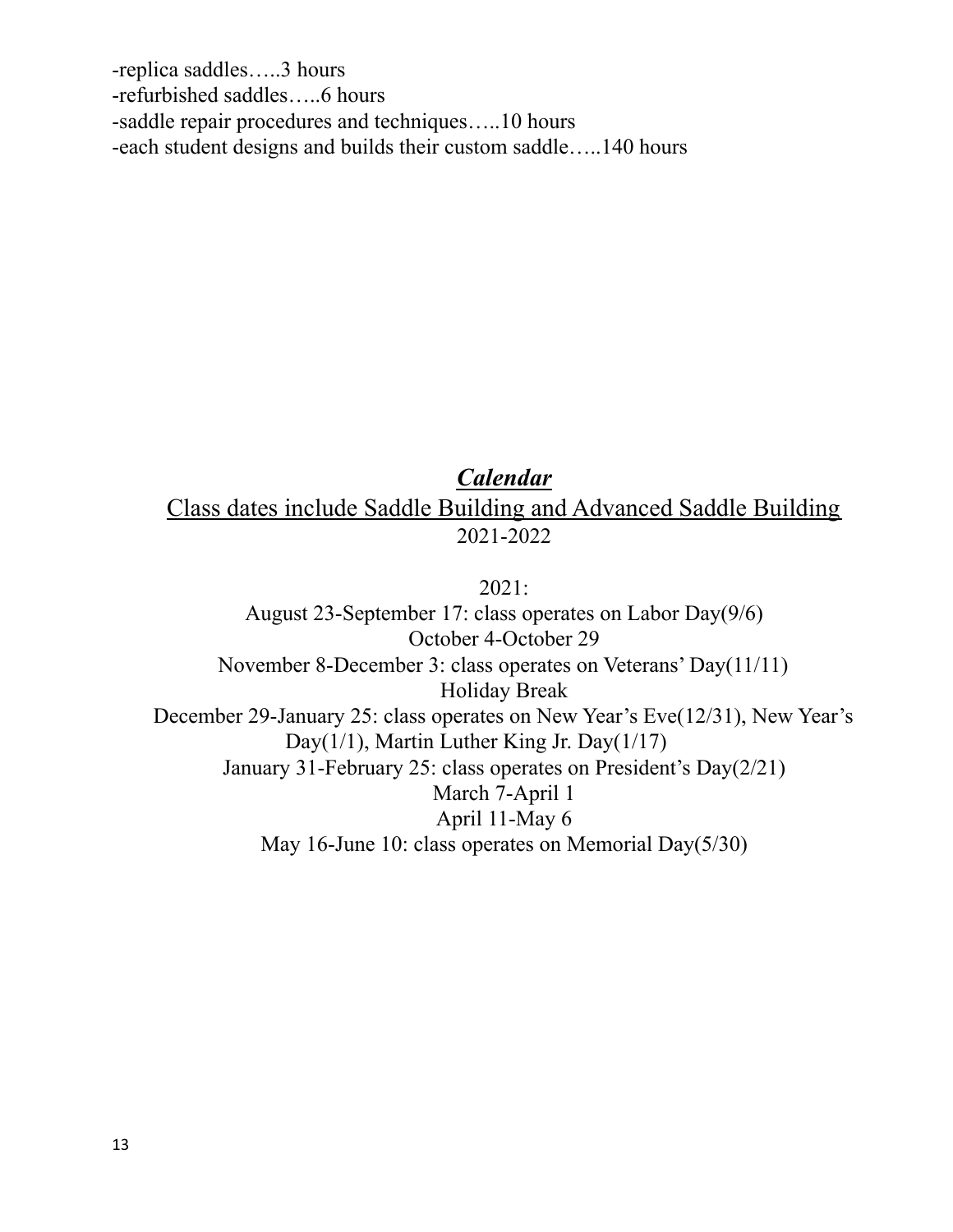-replica saddles…..3 hours -refurbished saddles…..6 hours -saddle repair procedures and techniques…..10 hours -each student designs and builds their custom saddle…..140 hours

### *Calendar* Class dates include Saddle Building and Advanced Saddle Building 2021-2022

2021: August 23-September 17: class operates on Labor Day(9/6) October 4-October 29 November 8-December 3: class operates on Veterans' Day(11/11) Holiday Break December 29-January 25: class operates on New Year's Eve(12/31), New Year's Day(1/1), Martin Luther King Jr. Day(1/17) January 31-February 25: class operates on President's Day(2/21) March 7-April 1 April 11-May 6 May 16-June 10: class operates on Memorial Day(5/30)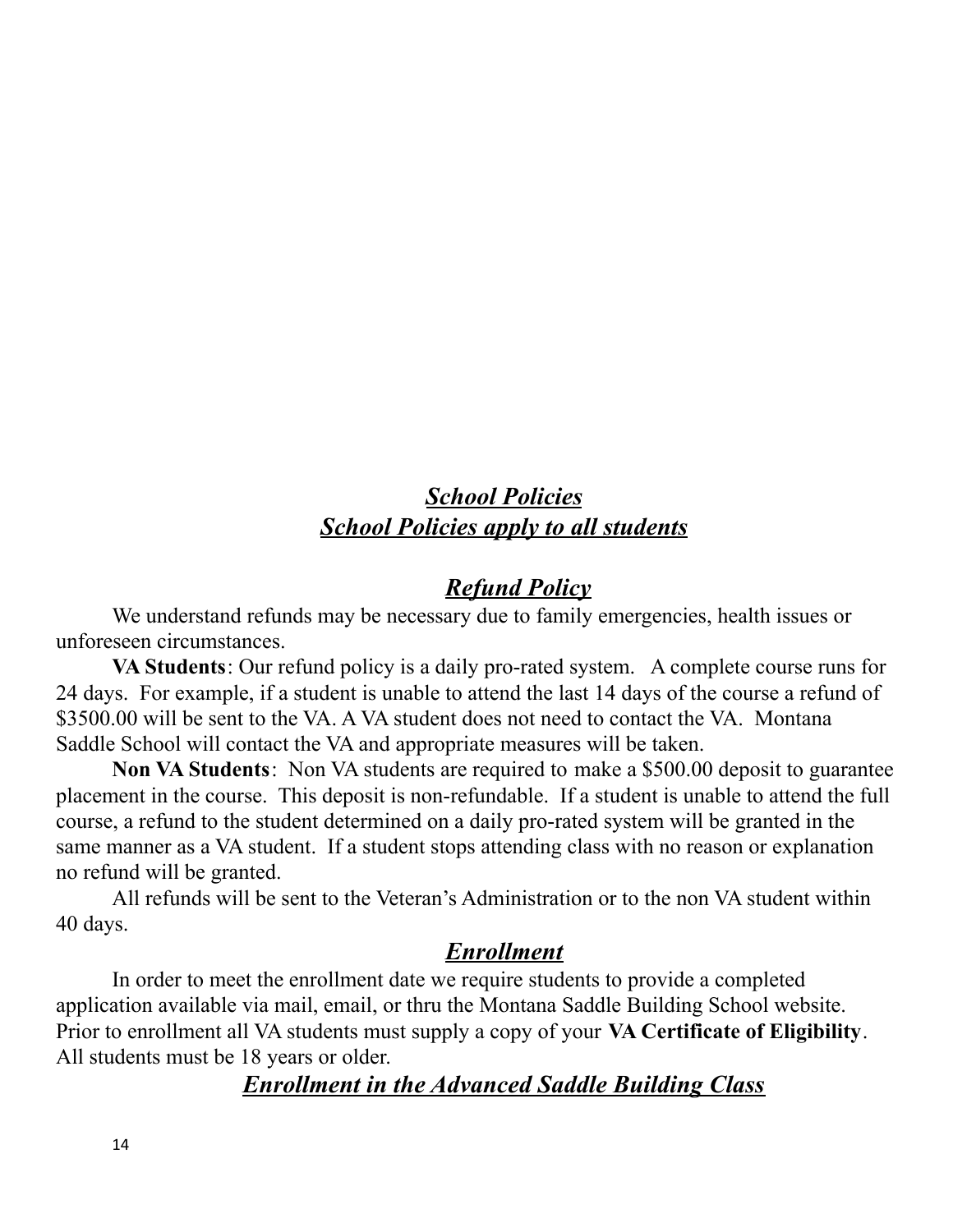## *School Policies School Policies apply to all students*

## *Refund Policy*

We understand refunds may be necessary due to family emergencies, health issues or unforeseen circumstances.

**VA Students**: Our refund policy is a daily pro-rated system. A complete course runs for 24 days. For example, if a student is unable to attend the last 14 days of the course a refund of \$3500.00 will be sent to the VA. A VA student does not need to contact the VA. Montana Saddle School will contact the VA and appropriate measures will be taken.

**Non VA Students**: Non VA students are required to make a \$500.00 deposit to guarantee placement in the course. This deposit is non-refundable. If a student is unable to attend the full course, a refund to the student determined on a daily pro-rated system will be granted in the same manner as a VA student. If a student stops attending class with no reason or explanation no refund will be granted.

All refunds will be sent to the Veteran's Administration or to the non VA student within 40 days.

### *Enrollment*

In order to meet the enrollment date we require students to provide a completed application available via mail, email, or thru the Montana Saddle Building School website. Prior to enrollment all VA students must supply a copy of your **VA Certificate of Eligibility**. All students must be 18 years or older.

### *Enrollment in the Advanced Saddle Building Class*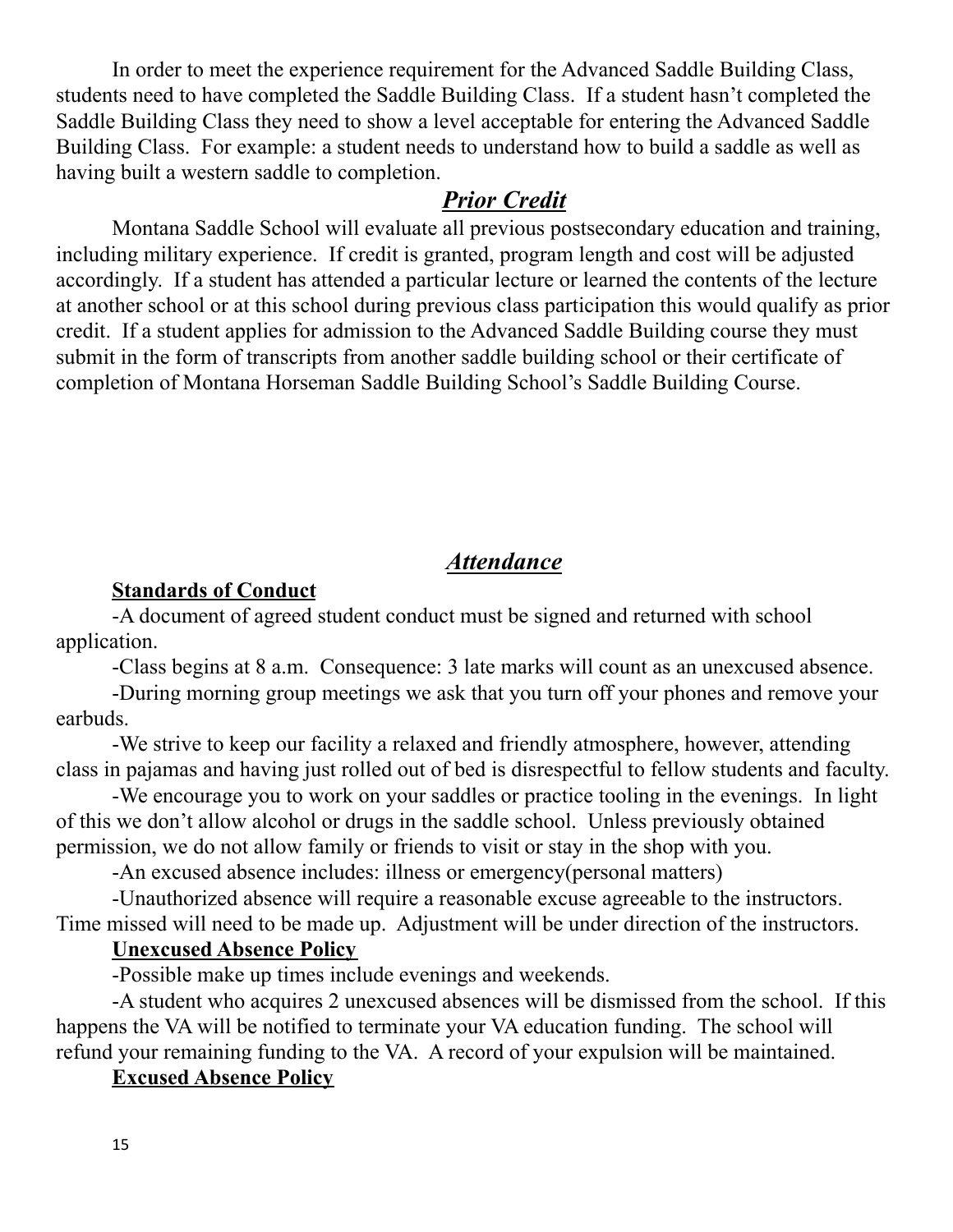In order to meet the experience requirement for the Advanced Saddle Building Class, students need to have completed the Saddle Building Class. If a student hasn't completed the Saddle Building Class they need to show a level acceptable for entering the Advanced Saddle Building Class. For example: a student needs to understand how to build a saddle as well as having built a western saddle to completion.

#### *Prior Credit*

Montana Saddle School will evaluate all previous postsecondary education and training, including military experience. If credit is granted, program length and cost will be adjusted accordingly. If a student has attended a particular lecture or learned the contents of the lecture at another school or at this school during previous class participation this would qualify as prior credit. If a student applies for admission to the Advanced Saddle Building course they must submit in the form of transcripts from another saddle building school or their certificate of completion of Montana Horseman Saddle Building School's Saddle Building Course.

### *Attendance*

#### **Standards of Conduct**

-A document of agreed student conduct must be signed and returned with school application.

-Class begins at 8 a.m. Consequence: 3 late marks will count as an unexcused absence.

-During morning group meetings we ask that you turn off your phones and remove your earbuds.

-We strive to keep our facility a relaxed and friendly atmosphere, however, attending class in pajamas and having just rolled out of bed is disrespectful to fellow students and faculty.

-We encourage you to work on your saddles or practice tooling in the evenings. In light of this we don't allow alcohol or drugs in the saddle school. Unless previously obtained permission, we do not allow family or friends to visit or stay in the shop with you.

-An excused absence includes: illness or emergency(personal matters)

-Unauthorized absence will require a reasonable excuse agreeable to the instructors. Time missed will need to be made up. Adjustment will be under direction of the instructors.

#### **Unexcused Absence Policy**

-Possible make up times include evenings and weekends.

-A student who acquires 2 unexcused absences will be dismissed from the school. If this happens the VA will be notified to terminate your VA education funding. The school will refund your remaining funding to the VA. A record of your expulsion will be maintained.

#### **Excused Absence Policy**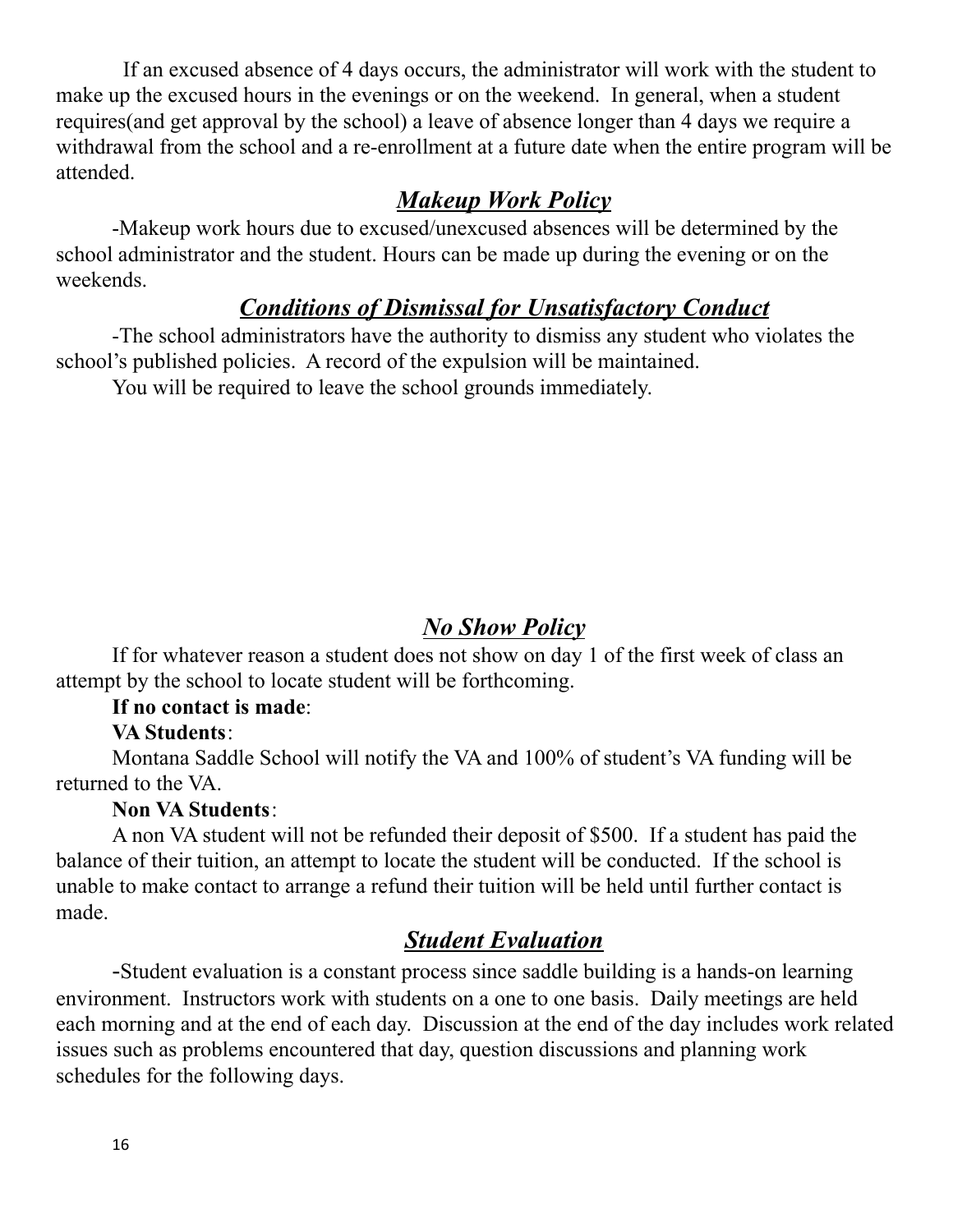If an excused absence of 4 days occurs, the administrator will work with the student to make up the excused hours in the evenings or on the weekend. In general, when a student requires(and get approval by the school) a leave of absence longer than 4 days we require a withdrawal from the school and a re-enrollment at a future date when the entire program will be attended.

#### *Makeup Work Policy*

-Makeup work hours due to excused/unexcused absences will be determined by the school administrator and the student. Hours can be made up during the evening or on the weekends.

#### *Conditions of Dismissal for Unsatisfactory Conduct*

-The school administrators have the authority to dismiss any student who violates the school's published policies. A record of the expulsion will be maintained.

You will be required to leave the school grounds immediately.

### *No Show Policy*

If for whatever reason a student does not show on day 1 of the first week of class an attempt by the school to locate student will be forthcoming.

#### **If no contact is made**:

#### **VA Students**:

Montana Saddle School will notify the VA and 100% of student's VA funding will be returned to the VA.

#### **Non VA Students**:

A non VA student will not be refunded their deposit of \$500. If a student has paid the balance of their tuition, an attempt to locate the student will be conducted. If the school is unable to make contact to arrange a refund their tuition will be held until further contact is made.

### *Student Evaluation*

-Student evaluation is a constant process since saddle building is a hands-on learning environment. Instructors work with students on a one to one basis. Daily meetings are held each morning and at the end of each day. Discussion at the end of the day includes work related issues such as problems encountered that day, question discussions and planning work schedules for the following days.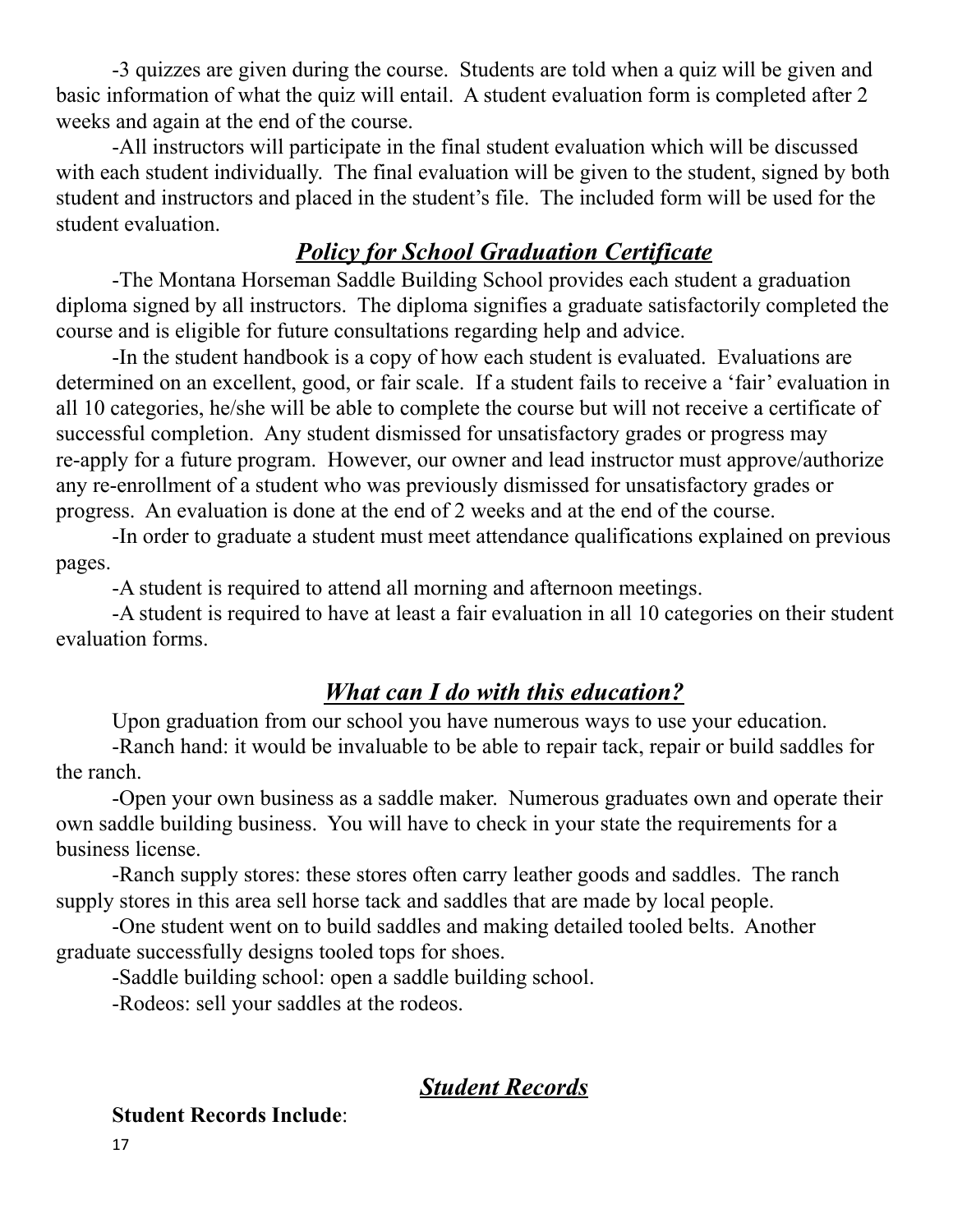-3 quizzes are given during the course. Students are told when a quiz will be given and basic information of what the quiz will entail. A student evaluation form is completed after 2 weeks and again at the end of the course.

-All instructors will participate in the final student evaluation which will be discussed with each student individually. The final evaluation will be given to the student, signed by both student and instructors and placed in the student's file. The included form will be used for the student evaluation.

### *Policy for School Graduation Certificate*

-The Montana Horseman Saddle Building School provides each student a graduation diploma signed by all instructors. The diploma signifies a graduate satisfactorily completed the course and is eligible for future consultations regarding help and advice.

-In the student handbook is a copy of how each student is evaluated. Evaluations are determined on an excellent, good, or fair scale. If a student fails to receive a 'fair' evaluation in all 10 categories, he/she will be able to complete the course but will not receive a certificate of successful completion. Any student dismissed for unsatisfactory grades or progress may re-apply for a future program. However, our owner and lead instructor must approve/authorize any re-enrollment of a student who was previously dismissed for unsatisfactory grades or progress. An evaluation is done at the end of 2 weeks and at the end of the course.

-In order to graduate a student must meet attendance qualifications explained on previous pages.

-A student is required to attend all morning and afternoon meetings.

-A student is required to have at least a fair evaluation in all 10 categories on their student evaluation forms.

#### *What can I do with this education?*

Upon graduation from our school you have numerous ways to use your education.

-Ranch hand: it would be invaluable to be able to repair tack, repair or build saddles for the ranch.

-Open your own business as a saddle maker. Numerous graduates own and operate their own saddle building business. You will have to check in your state the requirements for a business license.

-Ranch supply stores: these stores often carry leather goods and saddles. The ranch supply stores in this area sell horse tack and saddles that are made by local people.

-One student went on to build saddles and making detailed tooled belts. Another graduate successfully designs tooled tops for shoes.

-Saddle building school: open a saddle building school.

-Rodeos: sell your saddles at the rodeos.

#### *Student Records*

#### **Student Records Include**: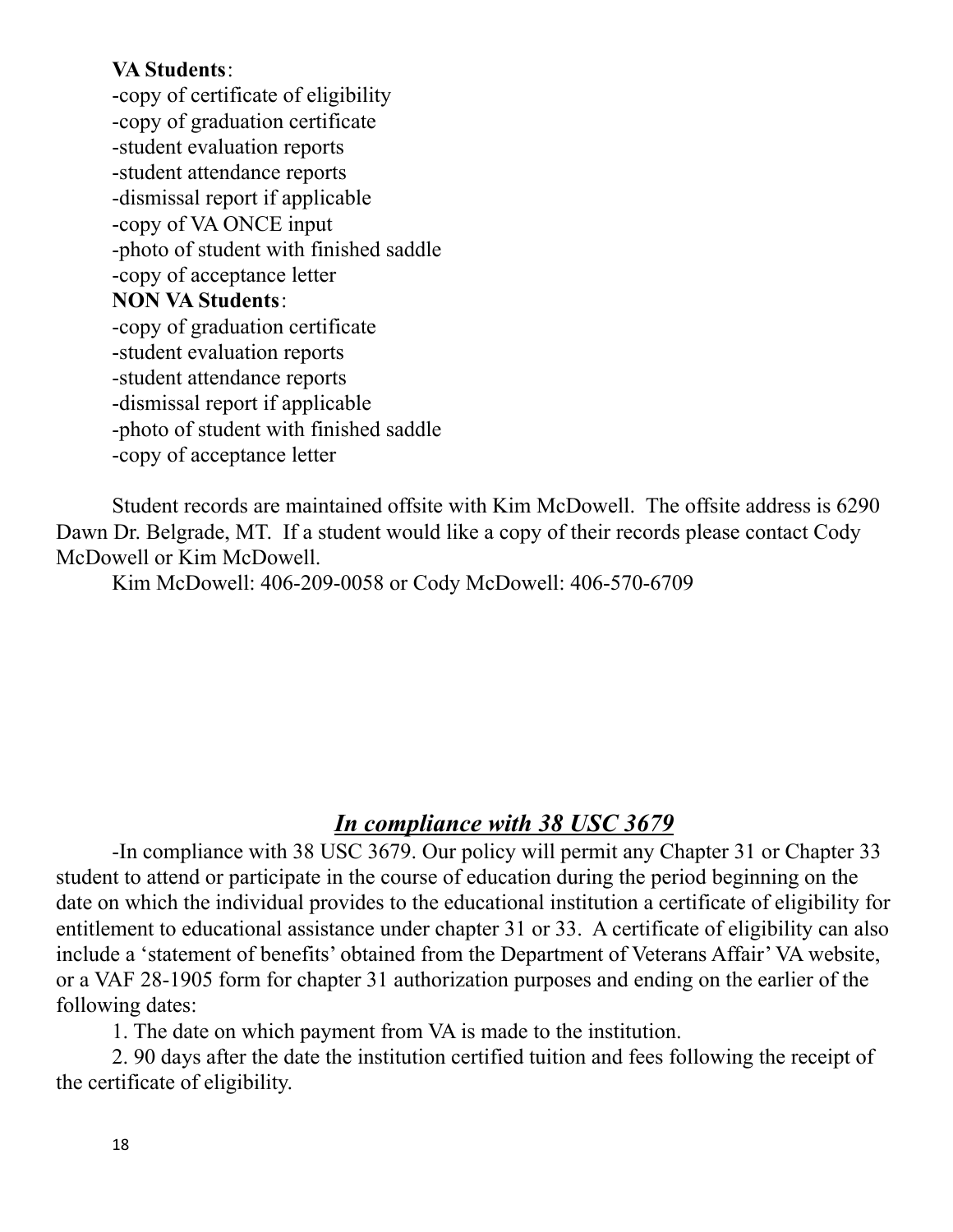#### **VA Students**:

-copy of certificate of eligibility -copy of graduation certificate -student evaluation reports -student attendance reports -dismissal report if applicable -copy of VA ONCE input -photo of student with finished saddle -copy of acceptance letter **NON VA Students**: -copy of graduation certificate -student evaluation reports -student attendance reports -dismissal report if applicable -photo of student with finished saddle -copy of acceptance letter

Student records are maintained offsite with Kim McDowell. The offsite address is 6290 Dawn Dr. Belgrade, MT. If a student would like a copy of their records please contact Cody McDowell or Kim McDowell.

Kim McDowell: 406-209-0058 or Cody McDowell: 406-570-6709

## *In compliance with 38 USC 3679*

-In compliance with 38 USC 3679. Our policy will permit any Chapter 31 or Chapter 33 student to attend or participate in the course of education during the period beginning on the date on which the individual provides to the educational institution a certificate of eligibility for entitlement to educational assistance under chapter 31 or 33. A certificate of eligibility can also include a 'statement of benefits' obtained from the Department of Veterans Affair' VA website, or a VAF 28-1905 form for chapter 31 authorization purposes and ending on the earlier of the following dates:

1. The date on which payment from VA is made to the institution.

2. 90 days after the date the institution certified tuition and fees following the receipt of the certificate of eligibility.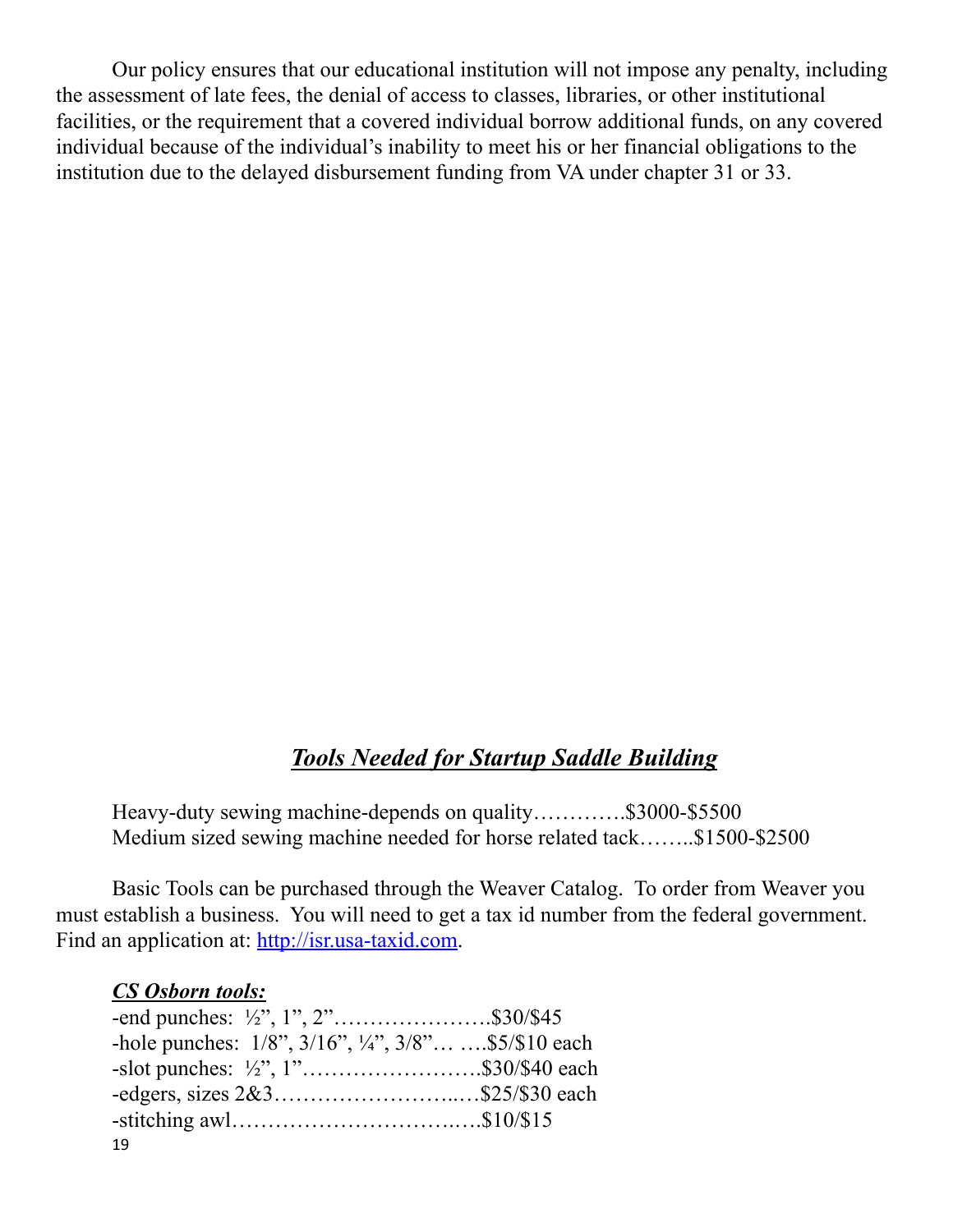Our policy ensures that our educational institution will not impose any penalty, including the assessment of late fees, the denial of access to classes, libraries, or other institutional facilities, or the requirement that a covered individual borrow additional funds, on any covered individual because of the individual's inability to meet his or her financial obligations to the institution due to the delayed disbursement funding from VA under chapter 31 or 33.

## *Tools Needed for Startup Saddle Building*

Heavy-duty sewing machine-depends on quality………….\$3000-\$5500 Medium sized sewing machine needed for horse related tack……..\$1500-\$2500

Basic Tools can be purchased through the Weaver Catalog. To order from Weaver you must establish a business. You will need to get a tax id number from the federal government. Find an application at: <http://isr.usa-taxid.com>.

#### *CS Osborn tools:*

| -end punches: $\frac{1}{2}$ , 1", 2"\$30/\$45                            |  |
|--------------------------------------------------------------------------|--|
| -hole punches: $1/8$ ", $3/16$ ", $\frac{1}{4}$ ", $3/8$ " \$5/\$10 each |  |
| -slot punches: $\frac{1}{2}$ , 1"\$30/\$40 each                          |  |
| -edgers, sizes $2&3$ \$25/\$30 each                                      |  |
|                                                                          |  |
| 19                                                                       |  |